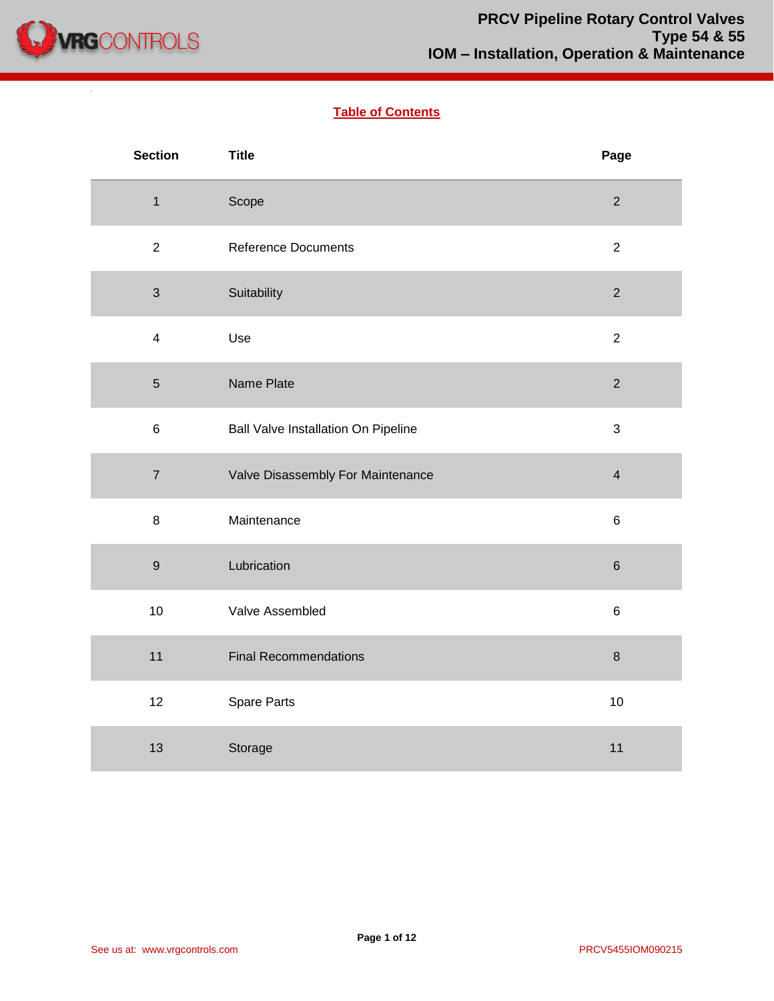

 $\mathcal{L}^{\mathcal{L}}$ 

# **Table of Contents**

| <b>Section</b>          | <b>Title</b>                               | Page                    |
|-------------------------|--------------------------------------------|-------------------------|
| $\mathbf{1}$            | Scope                                      | $\overline{2}$          |
| $\overline{2}$          | <b>Reference Documents</b>                 | $\overline{2}$          |
| $\mathfrak{S}$          | Suitability                                | $\overline{2}$          |
| $\overline{\mathbf{4}}$ | Use                                        | $\overline{2}$          |
| $\sqrt{5}$              | Name Plate                                 | $\mathbf 2$             |
| $\,6\,$                 | <b>Ball Valve Installation On Pipeline</b> | $\mathfrak{S}$          |
| $\overline{7}$          | Valve Disassembly For Maintenance          | $\overline{\mathbf{4}}$ |
| $\bf 8$                 | Maintenance                                | $\,6$                   |
| $\boldsymbol{9}$        | Lubrication                                | $\,$ 6 $\,$             |
| 10                      | Valve Assembled                            | $\,6\,$                 |
| 11                      | <b>Final Recommendations</b>               | $\bf 8$                 |
| 12                      | Spare Parts                                | 10                      |
| 13                      | Storage                                    | 11                      |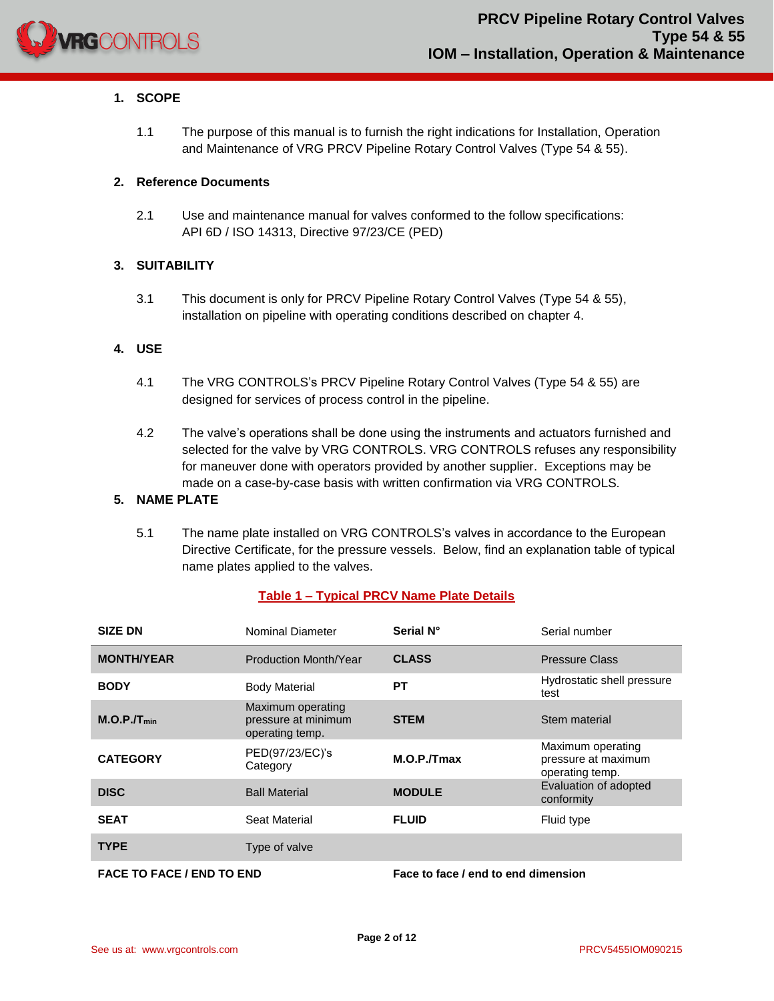

## **1. SCOPE**

1.1 The purpose of this manual is to furnish the right indications for Installation, Operation and Maintenance of VRG PRCV Pipeline Rotary Control Valves (Type 54 & 55).

#### **2. Reference Documents**

2.1 Use and maintenance manual for valves conformed to the follow specifications: API 6D / ISO 14313, Directive 97/23/CE (PED)

#### **3. SUITABILITY**

3.1 This document is only for PRCV Pipeline Rotary Control Valves (Type 54 & 55), installation on pipeline with operating conditions described on chapter 4.

#### **4. USE**

- 4.1 The VRG CONTROLS's PRCV Pipeline Rotary Control Valves (Type 54 & 55) are designed for services of process control in the pipeline.
- 4.2 The valve's operations shall be done using the instruments and actuators furnished and selected for the valve by VRG CONTROLS. VRG CONTROLS refuses any responsibility for maneuver done with operators provided by another supplier. Exceptions may be made on a case-by-case basis with written confirmation via VRG CONTROLS.

# **5. NAME PLATE**

5.1 The name plate installed on VRG CONTROLS's valves in accordance to the European Directive Certificate, for the pressure vessels. Below, find an explanation table of typical name plates applied to the valves.

#### **Table 1 – Typical PRCV Name Plate Details**

| <b>SIZE DN</b>          | Nominal Diameter                                            | Serial N°     | Serial number                                               |
|-------------------------|-------------------------------------------------------------|---------------|-------------------------------------------------------------|
| <b>MONTH/YEAR</b>       | Production Month/Year                                       | <b>CLASS</b>  | <b>Pressure Class</b>                                       |
| <b>BODY</b>             | <b>Body Material</b>                                        | PТ            | Hydrostatic shell pressure<br>test                          |
| M.O.P.JT <sub>min</sub> | Maximum operating<br>pressure at minimum<br>operating temp. | <b>STEM</b>   | Stem material                                               |
| <b>CATEGORY</b>         | PED(97/23/EC)'s<br>Category                                 | M.O.P./Tmax   | Maximum operating<br>pressure at maximum<br>operating temp. |
| <b>DISC</b>             | <b>Ball Material</b>                                        | <b>MODULE</b> | Evaluation of adopted<br>conformity                         |
| <b>SEAT</b>             | Seat Material                                               | <b>FLUID</b>  | Fluid type                                                  |
| <b>TYPE</b>             | Type of valve                                               |               |                                                             |
|                         |                                                             |               |                                                             |

**FACE TO FACE / END TO END Face to face / end to end dimension**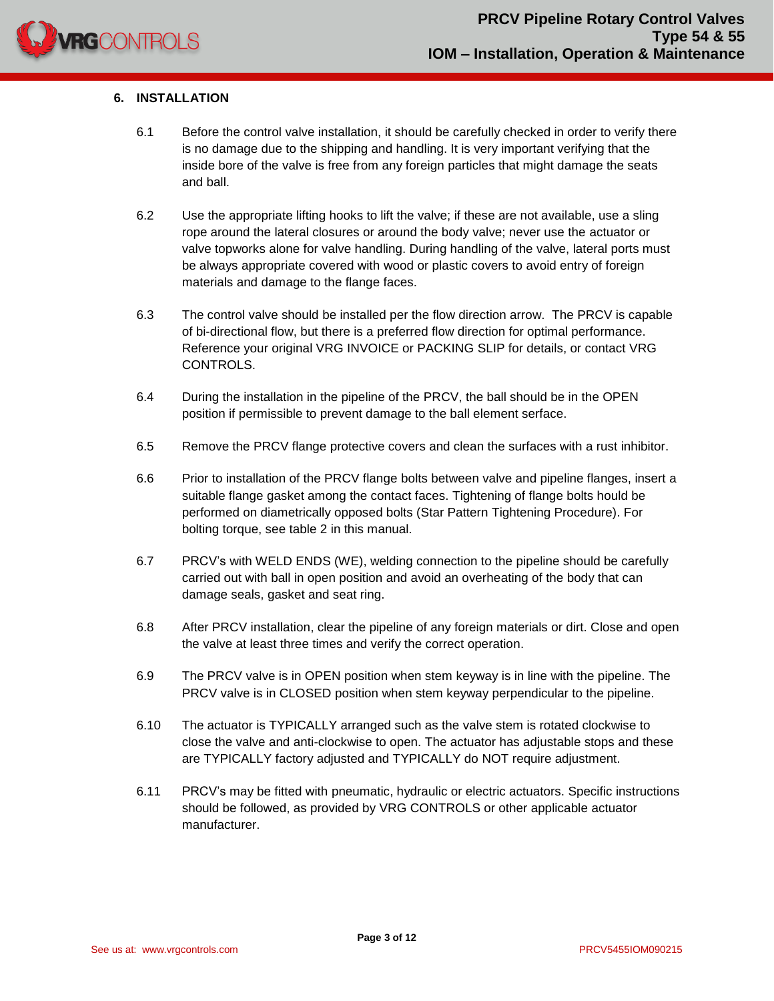

# **6. INSTALLATION**

- 6.1 Before the control valve installation, it should be carefully checked in order to verify there is no damage due to the shipping and handling. It is very important verifying that the inside bore of the valve is free from any foreign particles that might damage the seats and ball.
- 6.2 Use the appropriate lifting hooks to lift the valve; if these are not available, use a sling rope around the lateral closures or around the body valve; never use the actuator or valve topworks alone for valve handling. During handling of the valve, lateral ports must be always appropriate covered with wood or plastic covers to avoid entry of foreign materials and damage to the flange faces.
- 6.3 The control valve should be installed per the flow direction arrow. The PRCV is capable of bi-directional flow, but there is a preferred flow direction for optimal performance. Reference your original VRG INVOICE or PACKING SLIP for details, or contact VRG CONTROLS.
- 6.4 During the installation in the pipeline of the PRCV, the ball should be in the OPEN position if permissible to prevent damage to the ball element serface.
- 6.5 Remove the PRCV flange protective covers and clean the surfaces with a rust inhibitor.
- 6.6 Prior to installation of the PRCV flange bolts between valve and pipeline flanges, insert a suitable flange gasket among the contact faces. Tightening of flange bolts hould be performed on diametrically opposed bolts (Star Pattern Tightening Procedure). For bolting torque, see table 2 in this manual.
- 6.7 PRCV's with WELD ENDS (WE), welding connection to the pipeline should be carefully carried out with ball in open position and avoid an overheating of the body that can damage seals, gasket and seat ring.
- 6.8 After PRCV installation, clear the pipeline of any foreign materials or dirt. Close and open the valve at least three times and verify the correct operation.
- 6.9 The PRCV valve is in OPEN position when stem keyway is in line with the pipeline. The PRCV valve is in CLOSED position when stem keyway perpendicular to the pipeline.
- 6.10 The actuator is TYPICALLY arranged such as the valve stem is rotated clockwise to close the valve and anti-clockwise to open. The actuator has adjustable stops and these are TYPICALLY factory adjusted and TYPICALLY do NOT require adjustment.
- 6.11 PRCV's may be fitted with pneumatic, hydraulic or electric actuators. Specific instructions should be followed, as provided by VRG CONTROLS or other applicable actuator manufacturer.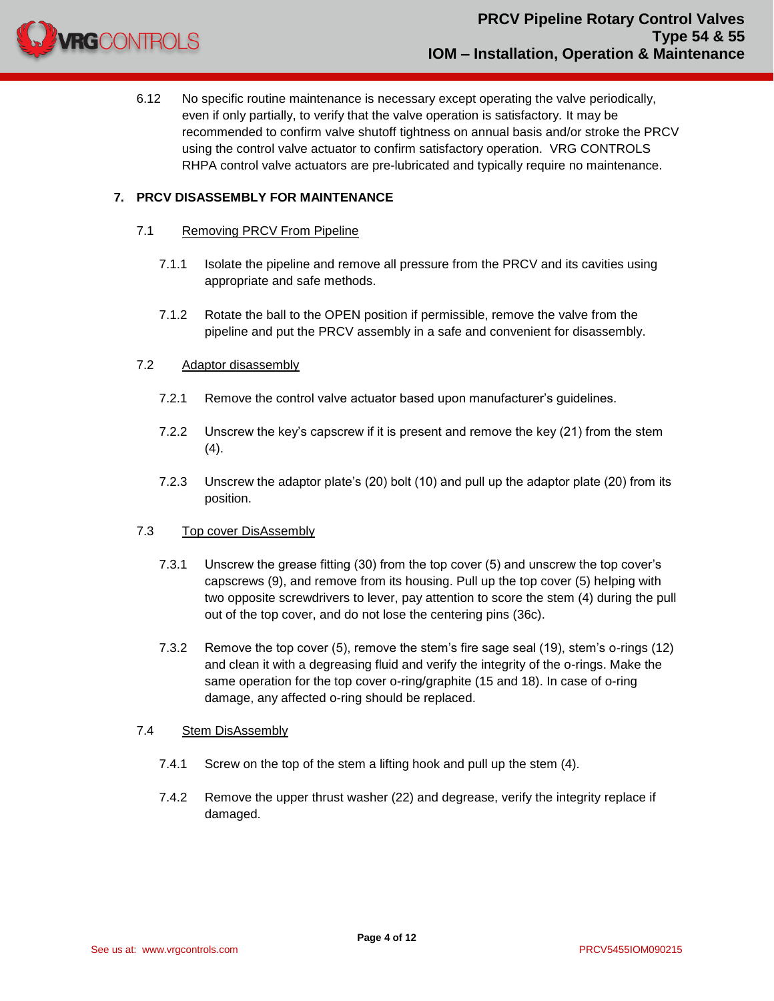

6.12 No specific routine maintenance is necessary except operating the valve periodically, even if only partially, to verify that the valve operation is satisfactory. It may be recommended to confirm valve shutoff tightness on annual basis and/or stroke the PRCV using the control valve actuator to confirm satisfactory operation. VRG CONTROLS RHPA control valve actuators are pre-lubricated and typically require no maintenance.

## **7. PRCV DISASSEMBLY FOR MAINTENANCE**

#### 7.1 Removing PRCV From Pipeline

- 7.1.1 Isolate the pipeline and remove all pressure from the PRCV and its cavities using appropriate and safe methods.
- 7.1.2 Rotate the ball to the OPEN position if permissible, remove the valve from the pipeline and put the PRCV assembly in a safe and convenient for disassembly.

#### 7.2 Adaptor disassembly

- 7.2.1 Remove the control valve actuator based upon manufacturer's guidelines.
- 7.2.2 Unscrew the key's capscrew if it is present and remove the key (21) from the stem  $(4).$
- 7.2.3 Unscrew the adaptor plate's (20) bolt (10) and pull up the adaptor plate (20) from its position.

#### 7.3 Top cover DisAssembly

- 7.3.1 Unscrew the grease fitting (30) from the top cover (5) and unscrew the top cover's capscrews (9), and remove from its housing. Pull up the top cover (5) helping with two opposite screwdrivers to lever, pay attention to score the stem (4) during the pull out of the top cover, and do not lose the centering pins (36c).
- 7.3.2 Remove the top cover (5), remove the stem's fire sage seal (19), stem's o-rings (12) and clean it with a degreasing fluid and verify the integrity of the o-rings. Make the same operation for the top cover o-ring/graphite (15 and 18). In case of o-ring damage, any affected o-ring should be replaced.

#### 7.4 Stem DisAssembly

- 7.4.1 Screw on the top of the stem a lifting hook and pull up the stem (4).
- 7.4.2 Remove the upper thrust washer (22) and degrease, verify the integrity replace if damaged.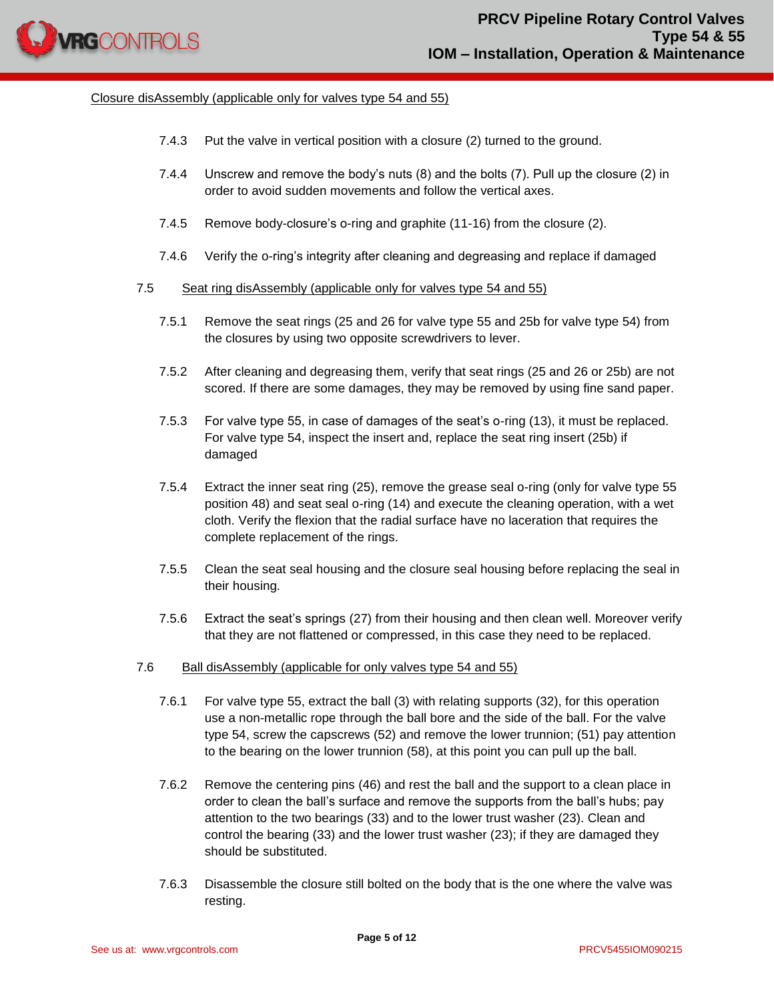

#### Closure disAssembly (applicable only for valves type 54 and 55)

- 7.4.3 Put the valve in vertical position with a closure (2) turned to the ground.
- 7.4.4 Unscrew and remove the body's nuts (8) and the bolts (7). Pull up the closure (2) in order to avoid sudden movements and follow the vertical axes.
- 7.4.5 Remove body-closure's o-ring and graphite (11-16) from the closure (2).
- 7.4.6 Verify the o-ring's integrity after cleaning and degreasing and replace if damaged
- 7.5 Seat ring disAssembly (applicable only for valves type 54 and 55)
	- 7.5.1 Remove the seat rings (25 and 26 for valve type 55 and 25b for valve type 54) from the closures by using two opposite screwdrivers to lever.
	- 7.5.2 After cleaning and degreasing them, verify that seat rings (25 and 26 or 25b) are not scored. If there are some damages, they may be removed by using fine sand paper.
	- 7.5.3 For valve type 55, in case of damages of the seat's o-ring (13), it must be replaced. For valve type 54, inspect the insert and, replace the seat ring insert (25b) if damaged
	- 7.5.4 Extract the inner seat ring (25), remove the grease seal o-ring (only for valve type 55 position 48) and seat seal o-ring (14) and execute the cleaning operation, with a wet cloth. Verify the flexion that the radial surface have no laceration that requires the complete replacement of the rings.
	- 7.5.5 Clean the seat seal housing and the closure seal housing before replacing the seal in their housing.
	- 7.5.6 Extract the seat's springs (27) from their housing and then clean well. Moreover verify that they are not flattened or compressed, in this case they need to be replaced.
- 7.6 Ball disAssembly (applicable for only valves type 54 and 55)
	- 7.6.1 For valve type 55, extract the ball (3) with relating supports (32), for this operation use a non-metallic rope through the ball bore and the side of the ball. For the valve type 54, screw the capscrews (52) and remove the lower trunnion; (51) pay attention to the bearing on the lower trunnion (58), at this point you can pull up the ball.
	- 7.6.2 Remove the centering pins (46) and rest the ball and the support to a clean place in order to clean the ball's surface and remove the supports from the ball's hubs; pay attention to the two bearings (33) and to the lower trust washer (23). Clean and control the bearing (33) and the lower trust washer (23); if they are damaged they should be substituted.
	- 7.6.3 Disassemble the closure still bolted on the body that is the one where the valve was resting.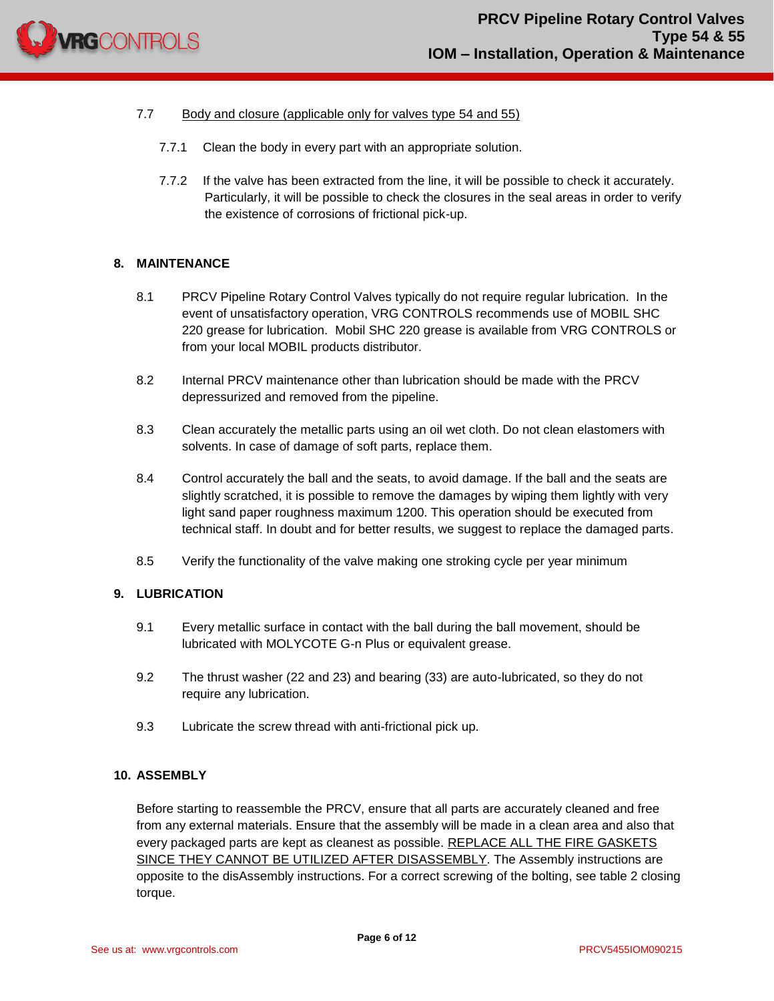

# 7.7 Body and closure (applicable only for valves type 54 and 55)

- 7.7.1 Clean the body in every part with an appropriate solution.
- 7.7.2 If the valve has been extracted from the line, it will be possible to check it accurately. Particularly, it will be possible to check the closures in the seal areas in order to verify the existence of corrosions of frictional pick-up.

#### **8. MAINTENANCE**

- 8.1 PRCV Pipeline Rotary Control Valves typically do not require regular lubrication. In the event of unsatisfactory operation, VRG CONTROLS recommends use of MOBIL SHC 220 grease for lubrication. Mobil SHC 220 grease is available from VRG CONTROLS or from your local MOBIL products distributor.
- 8.2 Internal PRCV maintenance other than lubrication should be made with the PRCV depressurized and removed from the pipeline.
- 8.3 Clean accurately the metallic parts using an oil wet cloth. Do not clean elastomers with solvents. In case of damage of soft parts, replace them.
- 8.4 Control accurately the ball and the seats, to avoid damage. If the ball and the seats are slightly scratched, it is possible to remove the damages by wiping them lightly with very light sand paper roughness maximum 1200. This operation should be executed from technical staff. In doubt and for better results, we suggest to replace the damaged parts.
- 8.5 Verify the functionality of the valve making one stroking cycle per year minimum

#### **9. LUBRICATION**

- 9.1 Every metallic surface in contact with the ball during the ball movement, should be lubricated with MOLYCOTE G-n Plus or equivalent grease.
- 9.2 The thrust washer (22 and 23) and bearing (33) are auto-lubricated, so they do not require any lubrication.
- 9.3 Lubricate the screw thread with anti-frictional pick up.

#### **10. ASSEMBLY**

Before starting to reassemble the PRCV, ensure that all parts are accurately cleaned and free from any external materials. Ensure that the assembly will be made in a clean area and also that every packaged parts are kept as cleanest as possible. REPLACE ALL THE FIRE GASKETS SINCE THEY CANNOT BE UTILIZED AFTER DISASSEMBLY. The Assembly instructions are opposite to the disAssembly instructions. For a correct screwing of the bolting, see table 2 closing torque.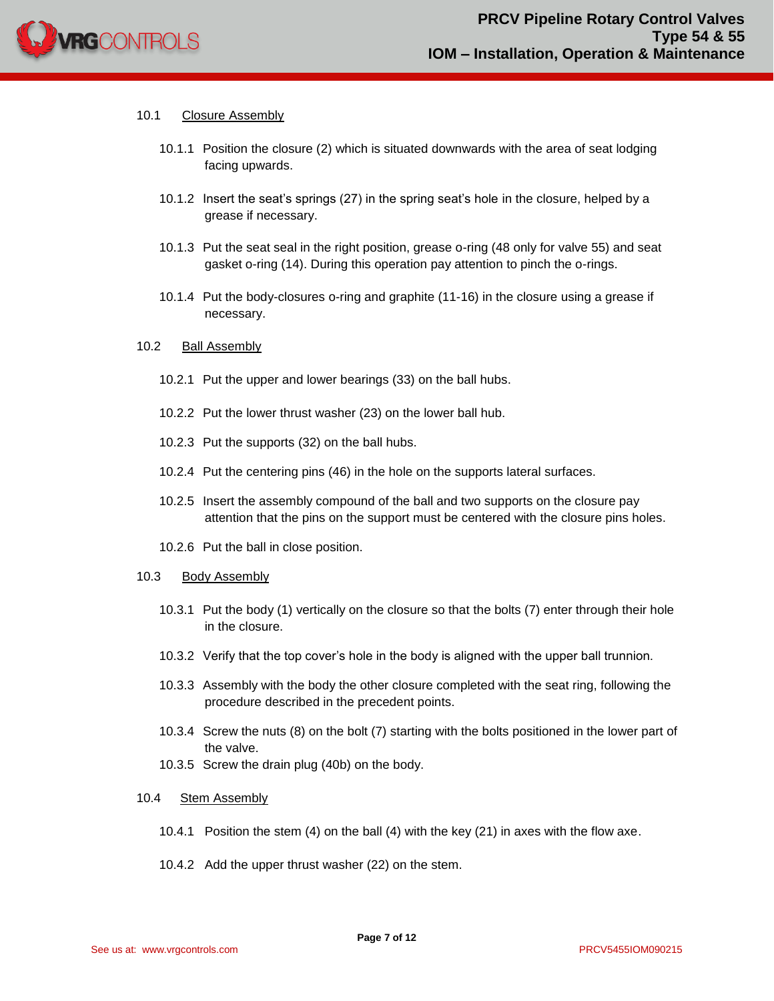

#### 10.1 Closure Assembly

- 10.1.1 Position the closure (2) which is situated downwards with the area of seat lodging facing upwards.
- 10.1.2 Insert the seat's springs (27) in the spring seat's hole in the closure, helped by a grease if necessary.
- 10.1.3 Put the seat seal in the right position, grease o-ring (48 only for valve 55) and seat gasket o-ring (14). During this operation pay attention to pinch the o-rings.
- 10.1.4 Put the body-closures o-ring and graphite (11-16) in the closure using a grease if necessary.

#### 10.2 Ball Assembly

- 10.2.1 Put the upper and lower bearings (33) on the ball hubs.
- 10.2.2 Put the lower thrust washer (23) on the lower ball hub.
- 10.2.3 Put the supports (32) on the ball hubs.
- 10.2.4 Put the centering pins (46) in the hole on the supports lateral surfaces.
- 10.2.5 Insert the assembly compound of the ball and two supports on the closure pay attention that the pins on the support must be centered with the closure pins holes.
- 10.2.6 Put the ball in close position.

#### 10.3 Body Assembly

- 10.3.1 Put the body (1) vertically on the closure so that the bolts (7) enter through their hole in the closure.
- 10.3.2 Verify that the top cover's hole in the body is aligned with the upper ball trunnion.
- 10.3.3 Assembly with the body the other closure completed with the seat ring, following the procedure described in the precedent points.
- 10.3.4 Screw the nuts (8) on the bolt (7) starting with the bolts positioned in the lower part of the valve.
- 10.3.5 Screw the drain plug (40b) on the body.

#### 10.4 Stem Assembly

- 10.4.1 Position the stem (4) on the ball (4) with the key (21) in axes with the flow axe.
- 10.4.2 Add the upper thrust washer (22) on the stem.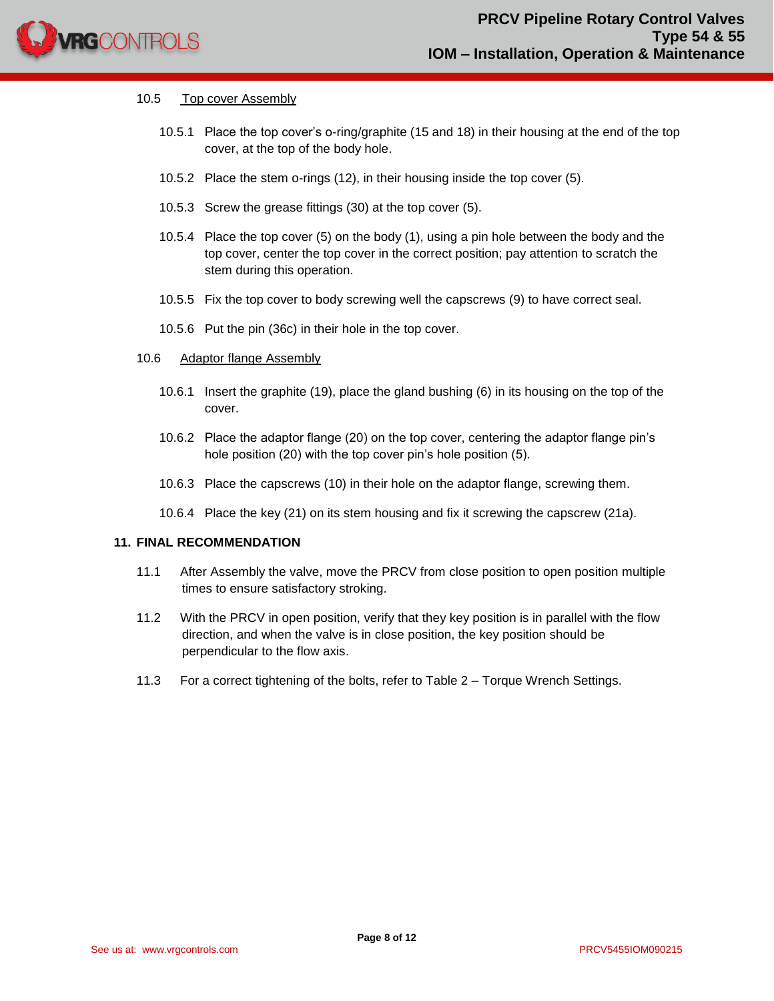

#### 10.5 Top cover Assembly

- 10.5.1 Place the top cover's o-ring/graphite (15 and 18) in their housing at the end of the top cover, at the top of the body hole.
- 10.5.2 Place the stem o-rings (12), in their housing inside the top cover (5).
- 10.5.3 Screw the grease fittings (30) at the top cover (5).
- 10.5.4 Place the top cover (5) on the body (1), using a pin hole between the body and the top cover, center the top cover in the correct position; pay attention to scratch the stem during this operation.
- 10.5.5 Fix the top cover to body screwing well the capscrews (9) to have correct seal.
- 10.5.6 Put the pin (36c) in their hole in the top cover.
- 10.6 Adaptor flange Assembly
	- 10.6.1 Insert the graphite (19), place the gland bushing (6) in its housing on the top of the cover.
	- 10.6.2 Place the adaptor flange (20) on the top cover, centering the adaptor flange pin's hole position (20) with the top cover pin's hole position (5).
	- 10.6.3 Place the capscrews (10) in their hole on the adaptor flange, screwing them.
	- 10.6.4 Place the key (21) on its stem housing and fix it screwing the capscrew (21a).

#### **11. FINAL RECOMMENDATION**

- 11.1 After Assembly the valve, move the PRCV from close position to open position multiple times to ensure satisfactory stroking.
- 11.2 With the PRCV in open position, verify that they key position is in parallel with the flow direction, and when the valve is in close position, the key position should be perpendicular to the flow axis.
- 11.3 For a correct tightening of the bolts, refer to Table 2 Torque Wrench Settings.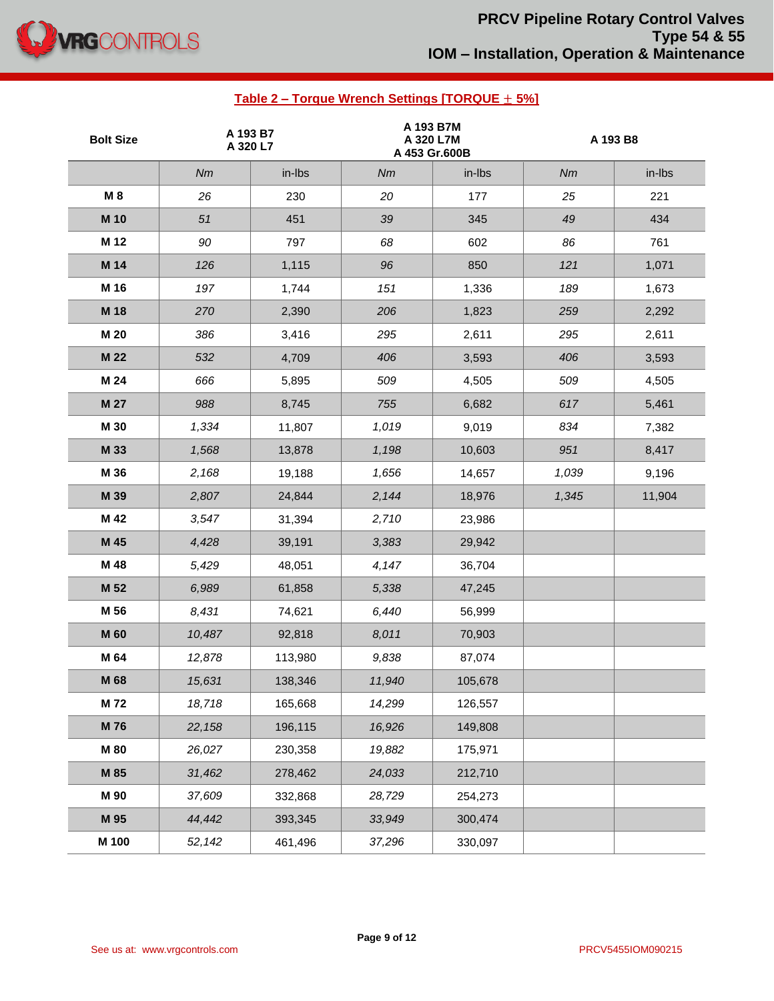

# **PRCV Pipeline Rotary Control Valves Type 54 & 55 IOM – Installation, Operation & Maintenance**

# **Bolt Size A 193 B7 A 320 L7 A 193 B7M A 320 L7M A 453 Gr.600B A 193 B8** *Nm* in-lbs *Nm* in-lbs *Nm* in-lbs **M 8** *26* 230 *20* 177 *25* 221 **M 10** *51* 451 *39* 345 *49* 434 **M 12** *90* 797 *68* 602 *86* 761 **M 14** *126* 1,115 *96* 850 *121* 1,071 **M 16** *197* 1,744 *151* 1,336 *189* 1,673 **M 18** *270* 2,390 *206* 1,823 *259* 2,292 **M 20** *386* 3,416 *295* 2,611 *295* 2,611 **M 22** *532* 4,709 *406* 3,593 *406* 3,593 **M 24** *666* 5,895 *509* 4,505 *509* 4,505 **M 27** *988* 8,745 *755* 6,682 *617* 5,461 **M 30** *1,334* 11,807 *1,019* 9,019 *834* 7,382 **M 33** *1,568* 13,878 *1,198* 10,603 *951* 8,417 **M 36** *2,168* 19,188 *1,656* 14,657 *1,039* 9,196 **M 39** *2,807* 24,844 *2,144* 18,976 *1,345* 11,904 **M 42** *3,547* 31,394 *2,710* 23,986 **M 45** *4,428* 39,191 *3,383* 29,942 **M 48** *5,429* 48,051 *4,147* 36,704 **M 52** *6,989* 61,858 *5,338* 47,245 **M 56** *8,431* 74,621 *6,440* 56,999 **M 60** *10,487* 92,818 *8,011* 70,903 **M 64** *12,878* 113,980 *9,838* 87,074 **M 68** *15,631* 138,346 *11,940* 105,678 **M 72** *18,718* 165,668 *14,299* 126,557 **M 76** *22,158* 196,115 *16,926* 149,808 **M 80** *26,027* 230,358 *19,882* 175,971 **M 85** *31,462* 278,462 *24,033* 212,710 **M 90** *37,609* 332,868 *28,729* 254,273 **M 95** *44,442* 393,345 *33,949* 300,474

**Table 2 – Torque Wrench Settings [TORQUE** ± **5%]**

**M 100** *52,142* 461,496 *37,296* 330,097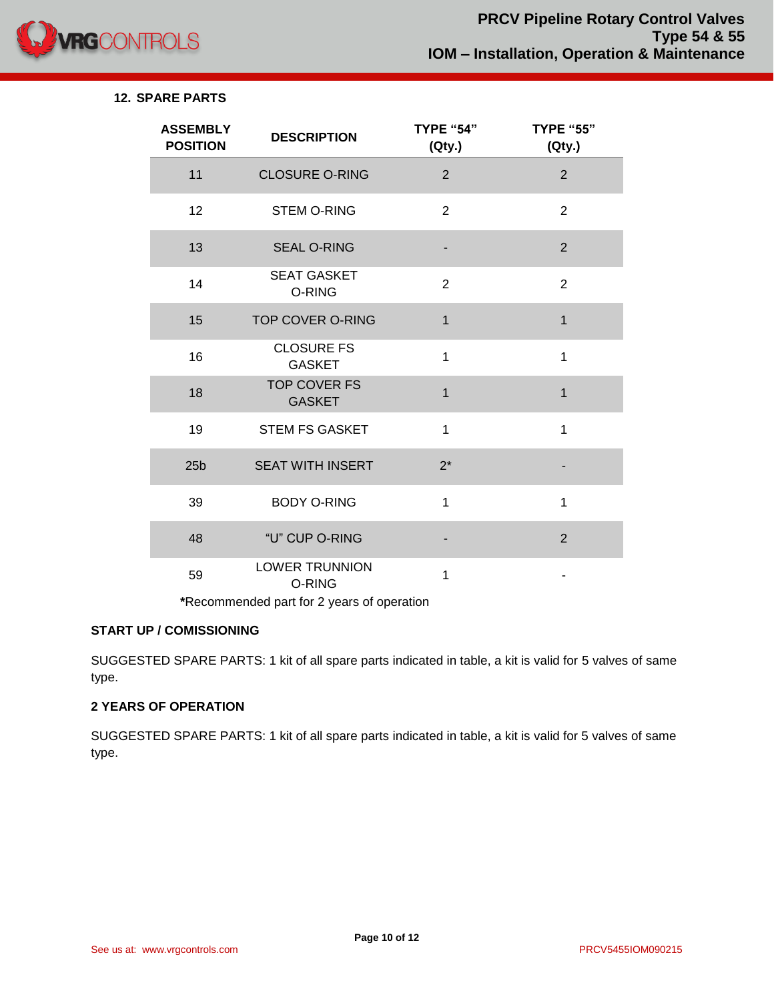

# **12. SPARE PARTS**

| <b>ASSEMBLY</b><br><b>POSITION</b> | <b>DESCRIPTION</b>                   | <b>TYPE "54"</b><br>(Qty.) | <b>TYPE "55"</b><br>(Qty.) |
|------------------------------------|--------------------------------------|----------------------------|----------------------------|
| 11                                 | <b>CLOSURE O-RING</b>                | $\overline{2}$             | $\overline{2}$             |
| 12                                 | <b>STEM O-RING</b>                   | $\overline{2}$             | $\overline{2}$             |
| 13                                 | <b>SEAL O-RING</b>                   |                            | $\overline{2}$             |
| 14                                 | <b>SEAT GASKET</b><br>O-RING         | $\overline{2}$             | $\overline{2}$             |
| 15                                 | <b>TOP COVER O-RING</b>              | 1                          | $\mathbf{1}$               |
| 16                                 | <b>CLOSURE FS</b><br><b>GASKET</b>   | 1                          | 1                          |
| 18                                 | <b>TOP COVER FS</b><br><b>GASKET</b> | 1                          | $\mathbf{1}$               |
| 19                                 | <b>STEM FS GASKET</b>                | 1                          | $\mathbf 1$                |
| 25 <sub>b</sub>                    | <b>SEAT WITH INSERT</b>              | $2^*$                      |                            |
| 39                                 | <b>BODY O-RING</b>                   | $\mathbf{1}$               | 1                          |
| 48                                 | "U" CUP O-RING                       |                            | $\overline{2}$             |
| 59                                 | <b>LOWER TRUNNION</b><br>O-RING      | 1                          |                            |

**\***Recommended part for 2 years of operation

# **START UP / COMISSIONING**

SUGGESTED SPARE PARTS: 1 kit of all spare parts indicated in table, a kit is valid for 5 valves of same type.

# **2 YEARS OF OPERATION**

SUGGESTED SPARE PARTS: 1 kit of all spare parts indicated in table, a kit is valid for 5 valves of same type.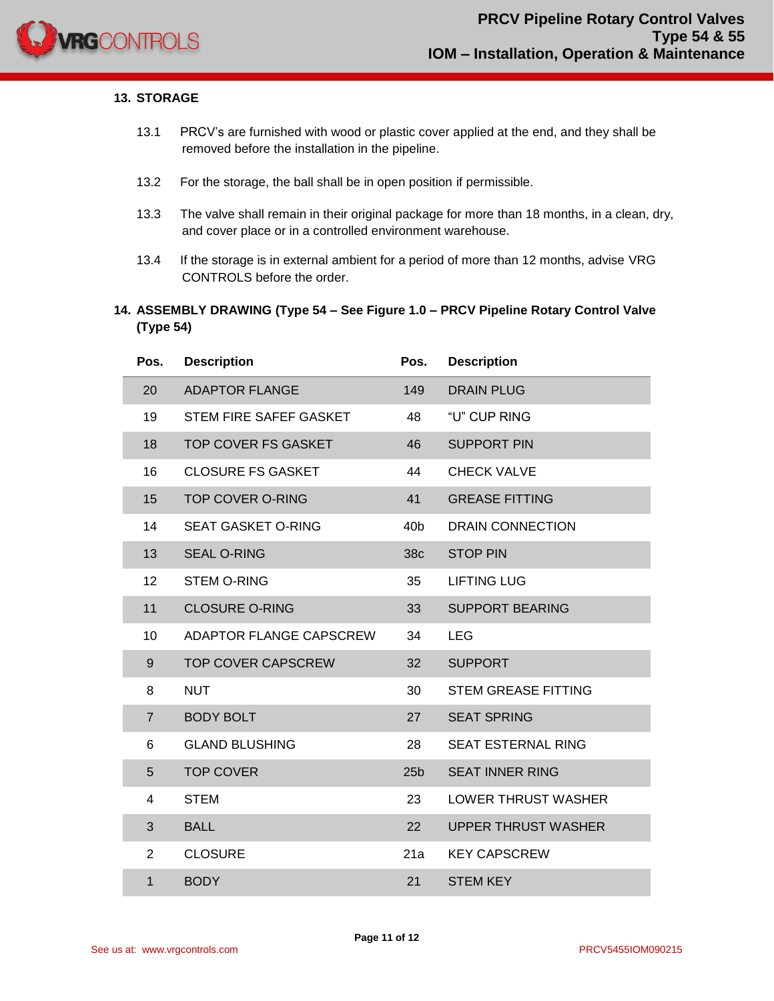

#### **13. STORAGE**

- 13.1 PRCV's are furnished with wood or plastic cover applied at the end, and they shall be removed before the installation in the pipeline.
- 13.2 For the storage, the ball shall be in open position if permissible.
- 13.3 The valve shall remain in their original package for more than 18 months, in a clean, dry, and cover place or in a controlled environment warehouse.
- 13.4 If the storage is in external ambient for a period of more than 12 months, advise VRG CONTROLS before the order.
- **14. ASSEMBLY DRAWING (Type 54 – See Figure 1.0 – PRCV Pipeline Rotary Control Valve (Type 54)**

| Pos.           | <b>Description</b>        | Pos.            | <b>Description</b>         |
|----------------|---------------------------|-----------------|----------------------------|
| 20             | <b>ADAPTOR FLANGE</b>     | 149             | <b>DRAIN PLUG</b>          |
| 19             | STEM FIRE SAFEF GASKET    | 48              | "U" CUP RING               |
| 18             | TOP COVER FS GASKET       | 46              | <b>SUPPORT PIN</b>         |
| 16             | <b>CLOSURE FS GASKET</b>  | 44              | <b>CHECK VALVE</b>         |
| 15             | <b>TOP COVER O-RING</b>   | 41              | <b>GREASE FITTING</b>      |
| 14             | <b>SEAT GASKET O-RING</b> | 40 <sub>b</sub> | <b>DRAIN CONNECTION</b>    |
| 13             | <b>SEAL O-RING</b>        | 38c             | <b>STOP PIN</b>            |
| 12             | <b>STEM O-RING</b>        | 35              | <b>LIFTING LUG</b>         |
| 11             | <b>CLOSURE O-RING</b>     | 33              | <b>SUPPORT BEARING</b>     |
| 10             | ADAPTOR FLANGE CAPSCREW   | 34              | <b>LEG</b>                 |
| 9              | <b>TOP COVER CAPSCREW</b> | 32              | <b>SUPPORT</b>             |
| 8              | <b>NUT</b>                | 30              | <b>STEM GREASE FITTING</b> |
| $\overline{7}$ | <b>BODY BOLT</b>          | 27              | <b>SEAT SPRING</b>         |
| 6              | <b>GLAND BLUSHING</b>     | 28              | SEAT ESTERNAL RING         |
| 5              | <b>TOP COVER</b>          | 25 <sub>b</sub> | <b>SEAT INNER RING</b>     |
| 4              | <b>STEM</b>               | 23              | <b>LOWER THRUST WASHER</b> |
| 3              | <b>BALL</b>               | 22              | <b>UPPER THRUST WASHER</b> |
| $\overline{2}$ | <b>CLOSURE</b>            | 21a             | <b>KEY CAPSCREW</b>        |
| $\mathbf{1}$   | <b>BODY</b>               | 21              | <b>STEM KEY</b>            |